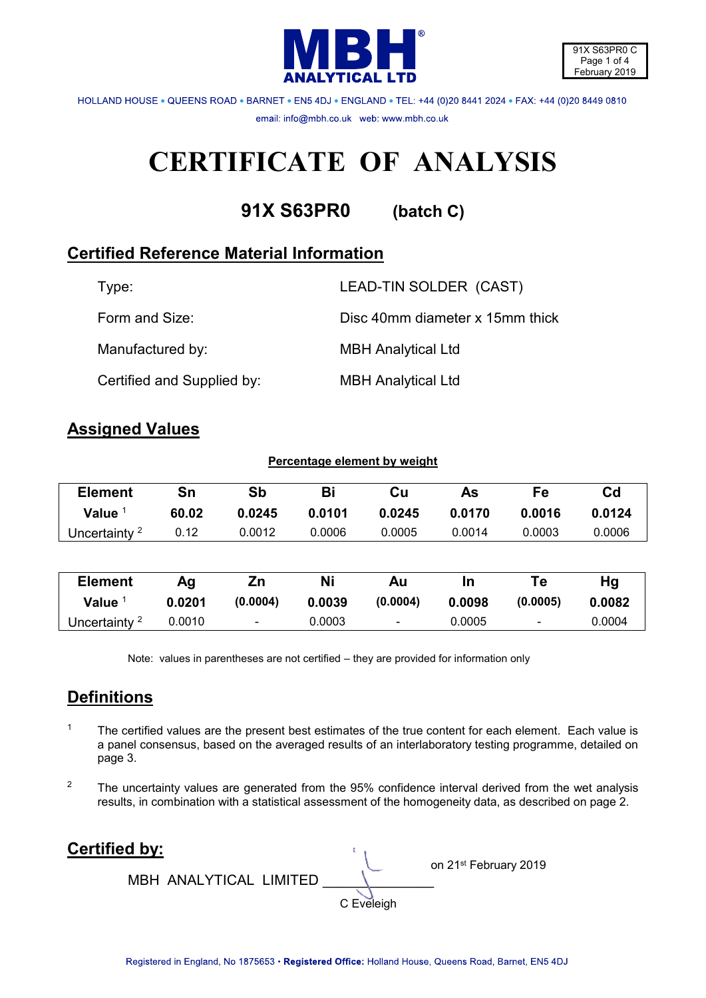

HOLLAND HOUSE . QUEENS ROAD . BARNET . ENS 4DJ . ENGLAND . TEL: +44 (0)20 8441 2024 . FAX: +44 (0)20 8449 0810 email: info@mbh.co.uk web: www.mbh.co.uk

# **CERTIFICATE OF ANALYSIS**

**91X S63PR0 (batch C)**

# **Certified Reference Material Information**

| Type:                      | LEAD-TIN SOLDER (CAST)          |
|----------------------------|---------------------------------|
| Form and Size:             | Disc 40mm diameter x 15mm thick |
| Manufactured by:           | <b>MBH Analytical Ltd</b>       |
| Certified and Supplied by: | <b>MBH Analytical Ltd</b>       |

## **Assigned Values**

| Percentage element by weight |        |          |           |                          |        |                          |                |
|------------------------------|--------|----------|-----------|--------------------------|--------|--------------------------|----------------|
| <b>Element</b>               | Sn     | Sb       | Bi        | Cu                       | As     | Fe                       | C <sub>d</sub> |
| Value $1$                    | 60.02  | 0.0245   | 0.0101    | 0.0245                   | 0.0170 | 0.0016                   | 0.0124         |
| Uncertainty <sup>2</sup>     | 0.12   | 0.0012   | 0.0006    | 0.0005                   | 0.0014 | 0.0003                   | 0.0006         |
|                              |        |          |           |                          |        |                          |                |
| <b>Element</b>               | Ag     | Zn       | <b>Ni</b> | Au                       | In     | Te                       | Hg             |
| Value $1$                    | 0.0201 | (0.0004) | 0.0039    | (0.0004)                 | 0.0098 | (0.0005)                 | 0.0082         |
| Uncertainty <sup>2</sup>     | 0.0010 | -        | 0.0003    | $\overline{\phantom{a}}$ | 0.0005 | $\overline{\phantom{a}}$ | 0.0004         |

Note: values in parentheses are not certified – they are provided for information only

# **Definitions**

- 1 The certified values are the present best estimates of the true content for each element. Each value is a panel consensus, based on the averaged results of an interlaboratory testing programme, detailed on page 3.
- <sup>2</sup> The uncertainty values are generated from the 95% confidence interval derived from the wet analysis results, in combination with a statistical assessment of the homogeneity data, as described on page 2.

**Certified by:** on 21st February 2019 MBH ANALYTICAL LIMITED \_\_\_\_\_\_\_\_\_\_\_\_\_\_ C Eveleigh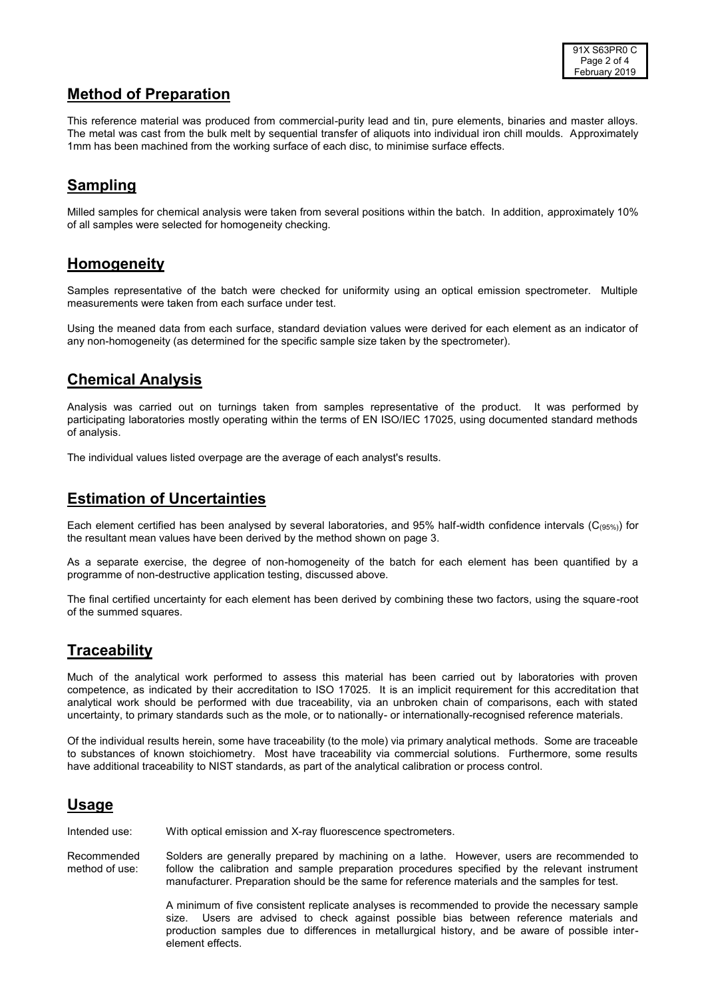### **Method of Preparation**

This reference material was produced from commercial-purity lead and tin, pure elements, binaries and master alloys. The metal was cast from the bulk melt by sequential transfer of aliquots into individual iron chill moulds. Approximately 1mm has been machined from the working surface of each disc, to minimise surface effects.

## **Sampling**

Milled samples for chemical analysis were taken from several positions within the batch. In addition, approximately 10% of all samples were selected for homogeneity checking.

#### **Homogeneity**

Samples representative of the batch were checked for uniformity using an optical emission spectrometer. Multiple measurements were taken from each surface under test.

Using the meaned data from each surface, standard deviation values were derived for each element as an indicator of any non-homogeneity (as determined for the specific sample size taken by the spectrometer).

#### **Chemical Analysis**

Analysis was carried out on turnings taken from samples representative of the product. It was performed by participating laboratories mostly operating within the terms of EN ISO/IEC 17025, using documented standard methods of analysis.

The individual values listed overpage are the average of each analyst's results.

#### **Estimation of Uncertainties**

Each element certified has been analysed by several laboratories, and 95% half-width confidence intervals  $(C_{(95%)})$  for the resultant mean values have been derived by the method shown on page 3.

As a separate exercise, the degree of non-homogeneity of the batch for each element has been quantified by a programme of non-destructive application testing, discussed above.

The final certified uncertainty for each element has been derived by combining these two factors, using the square-root of the summed squares.

#### **Traceability**

Much of the analytical work performed to assess this material has been carried out by laboratories with proven competence, as indicated by their accreditation to ISO 17025. It is an implicit requirement for this accreditation that analytical work should be performed with due traceability, via an unbroken chain of comparisons, each with stated uncertainty, to primary standards such as the mole, or to nationally- or internationally-recognised reference materials.

Of the individual results herein, some have traceability (to the mole) via primary analytical methods. Some are traceable to substances of known stoichiometry. Most have traceability via commercial solutions. Furthermore, some results have additional traceability to NIST standards, as part of the analytical calibration or process control.

## **Usage**

Intended use: With optical emission and X-ray fluorescence spectrometers.

Recommended method of use: Solders are generally prepared by machining on a lathe. However, users are recommended to follow the calibration and sample preparation procedures specified by the relevant instrument manufacturer. Preparation should be the same for reference materials and the samples for test.

> A minimum of five consistent replicate analyses is recommended to provide the necessary sample size. Users are advised to check against possible bias between reference materials and production samples due to differences in metallurgical history, and be aware of possible interelement effects.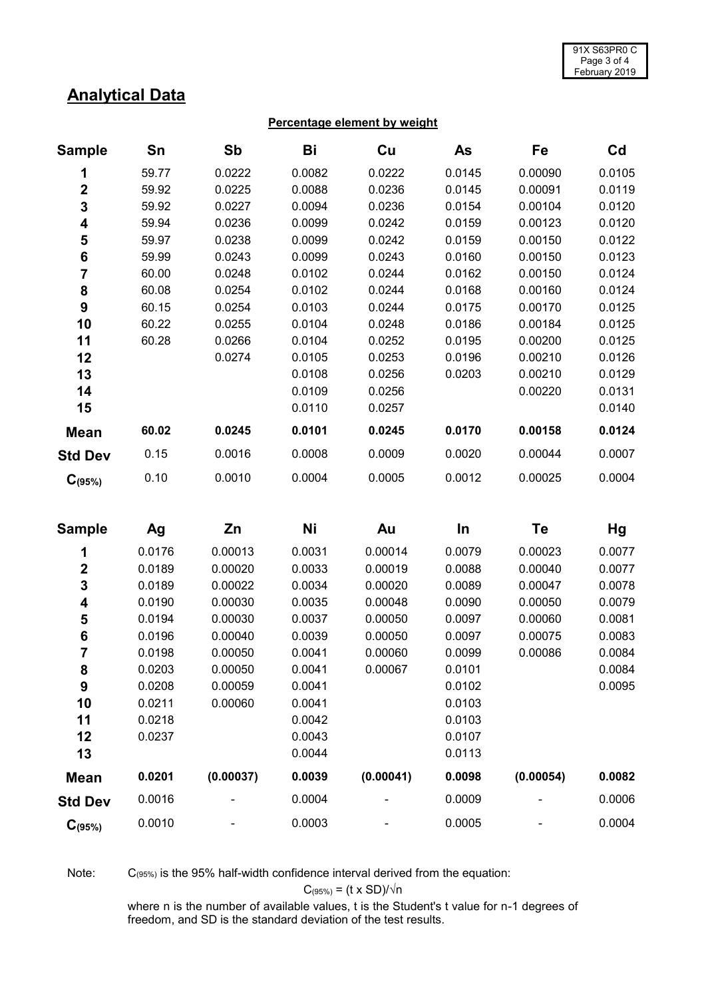## **Analytical Data**

#### **Percentage element by weight**

| <b>Sample</b>           | Sn     | Sb        | Bi     | Cu        | As     | Fe        | C <sub>d</sub> |
|-------------------------|--------|-----------|--------|-----------|--------|-----------|----------------|
| 1                       | 59.77  | 0.0222    | 0.0082 | 0.0222    | 0.0145 | 0.00090   | 0.0105         |
| $\overline{\mathbf{2}}$ | 59.92  | 0.0225    | 0.0088 | 0.0236    | 0.0145 | 0.00091   | 0.0119         |
| 3                       | 59.92  | 0.0227    | 0.0094 | 0.0236    | 0.0154 | 0.00104   | 0.0120         |
| 4                       | 59.94  | 0.0236    | 0.0099 | 0.0242    | 0.0159 | 0.00123   | 0.0120         |
| 5                       | 59.97  | 0.0238    | 0.0099 | 0.0242    | 0.0159 | 0.00150   | 0.0122         |
| 6                       | 59.99  | 0.0243    | 0.0099 | 0.0243    | 0.0160 | 0.00150   | 0.0123         |
| $\overline{7}$          | 60.00  | 0.0248    | 0.0102 | 0.0244    | 0.0162 | 0.00150   | 0.0124         |
| 8                       | 60.08  | 0.0254    | 0.0102 | 0.0244    | 0.0168 | 0.00160   | 0.0124         |
| $\boldsymbol{9}$        | 60.15  | 0.0254    | 0.0103 | 0.0244    | 0.0175 | 0.00170   | 0.0125         |
| 10                      | 60.22  | 0.0255    | 0.0104 | 0.0248    | 0.0186 | 0.00184   | 0.0125         |
| 11                      | 60.28  | 0.0266    | 0.0104 | 0.0252    | 0.0195 | 0.00200   | 0.0125         |
| 12                      |        | 0.0274    | 0.0105 | 0.0253    | 0.0196 | 0.00210   | 0.0126         |
| 13                      |        |           | 0.0108 | 0.0256    | 0.0203 | 0.00210   | 0.0129         |
| 14                      |        |           | 0.0109 | 0.0256    |        | 0.00220   | 0.0131         |
| 15                      |        |           | 0.0110 | 0.0257    |        |           | 0.0140         |
| <b>Mean</b>             | 60.02  | 0.0245    | 0.0101 | 0.0245    | 0.0170 | 0.00158   | 0.0124         |
| <b>Std Dev</b>          | 0.15   | 0.0016    | 0.0008 | 0.0009    | 0.0020 | 0.00044   | 0.0007         |
| $C_{(95%)}$             | 0.10   | 0.0010    | 0.0004 | 0.0005    | 0.0012 | 0.00025   | 0.0004         |
| <b>Sample</b>           | Ag     | Zn        | Ni     | Au        | In     | Te        | Hg             |
| 1                       | 0.0176 | 0.00013   | 0.0031 | 0.00014   | 0.0079 | 0.00023   | 0.0077         |
| $\mathbf 2$             | 0.0189 | 0.00020   | 0.0033 | 0.00019   | 0.0088 | 0.00040   | 0.0077         |
| 3                       | 0.0189 | 0.00022   | 0.0034 | 0.00020   | 0.0089 | 0.00047   | 0.0078         |
| 4                       | 0.0190 | 0.00030   | 0.0035 | 0.00048   | 0.0090 | 0.00050   | 0.0079         |
| 5                       | 0.0194 | 0.00030   | 0.0037 | 0.00050   | 0.0097 | 0.00060   | 0.0081         |
| $\bf 6$                 | 0.0196 | 0.00040   | 0.0039 | 0.00050   | 0.0097 | 0.00075   | 0.0083         |
| $\overline{7}$          | 0.0198 | 0.00050   | 0.0041 | 0.00060   | 0.0099 | 0.00086   | 0.0084         |
| 8                       | 0.0203 | 0.00050   | 0.0041 | 0.00067   | 0.0101 |           | 0.0084         |
| 9                       | 0.0208 | 0.00059   | 0.0041 |           | 0.0102 |           | 0.0095         |
| 10                      | 0.0211 | 0.00060   | 0.0041 |           | 0.0103 |           |                |
| 11                      | 0.0218 |           | 0.0042 |           | 0.0103 |           |                |
| 12                      | 0.0237 |           | 0.0043 |           | 0.0107 |           |                |
| 13                      |        |           | 0.0044 |           | 0.0113 |           |                |
| <b>Mean</b>             | 0.0201 | (0.00037) | 0.0039 | (0.00041) | 0.0098 | (0.00054) | 0.0082         |

Note: C(95%) is the 95% half-width confidence interval derived from the equation:

$$
C_{(95\%)} = (t \times SD)/\sqrt{n}
$$

**Std Dev** 0.0016 - 0.0004 - 0.0009 - 0.0006

**C(95%)** 0.0010 - 0.0003 - 0.0005 - 0.0004

where n is the number of available values, t is the Student's t value for n-1 degrees of freedom, and SD is the standard deviation of the test results.